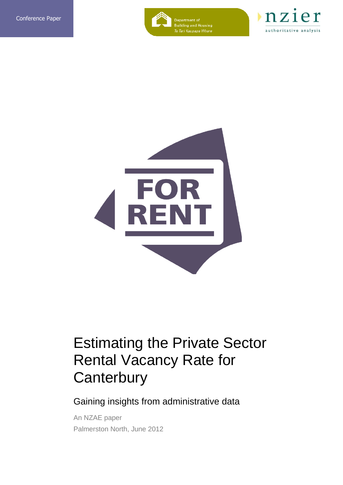

Department of<br>Building and Housing<br>*Te Tari Kaupapa Whare* 





## Estimating the Private Sector Rental Vacancy Rate for **Canterbury**

Gaining insights from administrative data

An NZAE paper Palmerston North, June 2012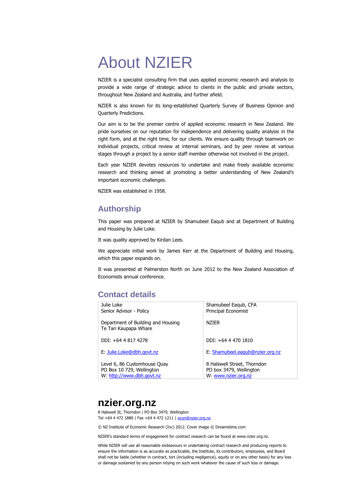# About NZIER

NZIER is a specialist consulting firm that uses applied economic research and analysis to provide a wide range of strategic advice to clients in the public and private sectors, throughout New Zealand and Australia, and further afield.

NZIER is also known for its long-established Quarterly Survey of Business Opinion and Quarterly Predictions.

Our aim is to be the premier centre of applied economic research in New Zealand. We pride ourselves on our reputation for independence and delivering quality analysis in the right form, and at the right time, for our clients. We ensure quality through teamwork on individual projects, critical review at internal seminars, and by peer review at various stages through a project by a senior staff member otherwise not involved in the project.

Each year NZIER devotes resources to undertake and make freely available economic research and thinking aimed at promoting a better understanding of New Zealand's important economic challenges.

NZIER was established in 1958.

### **Authorship**

This paper was prepared at NZIER by Shamubeel Eaqub and at Department of Building and Housing by Julie Loke.

It was quality approved by Kirdan Lees.

We appreciate initial work by James Kerr at the Department of Building and Housing, which this paper expands on.

It was presented at Palmerston North on June 2012 to the New Zealand Association of Economists annual conference.

### **Contact details**

| Julie Loke<br>Senior Advisor - Policy                       | Shamubeel Eagub, CFA<br>Principal Economist |
|-------------------------------------------------------------|---------------------------------------------|
| Department of Building and Housing<br>Te Tari Kaupapa Whare | N7TFR                                       |
| DDI: +64 4 817 4278                                         | DDI: +64 4 470 1810                         |
| E: Julie.Loke@dbh.govt.nz                                   | E: Shamubeel.eagub@nzier.org.nz             |
| Level 6, 86 Customhouse Quay                                | 8 Halswell Street, Thorndon                 |
| PO Box 10 729, Wellington                                   | PO box 3479, Wellington                     |
| W: http://www.dbh.govt.nz                                   | W: www.nzier.org.nz                         |

## **nzier.org.nz**

8 Halswell St, Thorndon | PO Box 3479, Wellington Tel +64 4 472 1880 | Fax +64 4 472 1211 | econ@nzier.org.nz

© NZ Institute of Economic Research (Inc) 2012. Cover image © Dreamstime.com

NZIER's standard terms of engagement for contract research can be found at www.nzier.org.nz.

While NZIER will use all reasonable endeavours in undertaking contract research and producing reports to ensure the information is as accurate as practicable, the Institute, its contributors, employees, and Board shall not be liable (whether in contract, tort (including negligence), equity or on any other basis) for any loss or damage sustained by any person relying on such work whatever the cause of such loss or damage.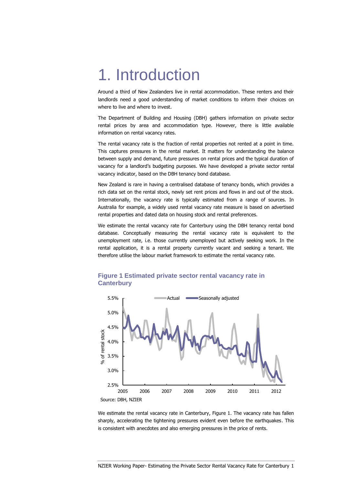## 1. Introduction

Around a third of New Zealanders live in rental accommodation. These renters and their landlords need a good understanding of market conditions to inform their choices on where to live and where to invest.

The Department of Building and Housing (DBH) gathers information on private sector rental prices by area and accommodation type. However, there is little available information on rental vacancy rates.

The rental vacancy rate is the fraction of rental properties not rented at a point in time. This captures pressures in the rental market. It matters for understanding the balance between supply and demand, future pressures on rental prices and the typical duration of vacancy for a landlord's budgeting purposes. We have developed a private sector rental vacancy indicator, based on the DBH tenancy bond database.

New Zealand is rare in having a centralised database of tenancy bonds, which provides a rich data set on the rental stock, newly set rent prices and flows in and out of the stock. Internationally, the vacancy rate is typically estimated from a range of sources. In Australia for example, a widely used rental vacancy rate measure is based on advertised rental properties and dated data on housing stock and rental preferences.

We estimate the rental vacancy rate for Canterbury using the DBH tenancy rental bond database. Conceptually measuring the rental vacancy rate is equivalent to the unemployment rate, i.e. those currently unemployed but actively seeking work. In the rental application, it is a rental property currently vacant and seeking a tenant. We therefore utilise the labour market framework to estimate the rental vacancy rate.



#### **Figure 1 Estimated private sector rental vacancy rate in Canterbury**

We estimate the rental vacancy rate in Canterbury, Figure 1. The vacancy rate has fallen sharply, accelerating the tightening pressures evident even before the earthquakes. This is consistent with anecdotes and also emerging pressures in the price of rents.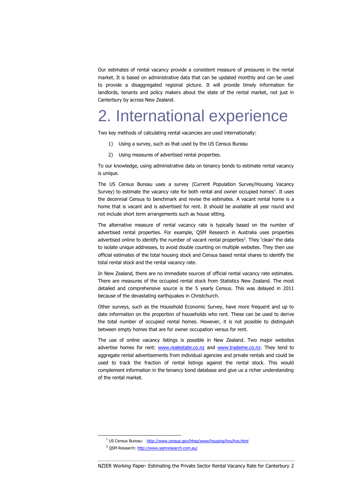Our estimates of rental vacancy provide a consistent measure of pressures in the rental market. It is based on administrative data that can be updated monthly and can be used to provide a disaggregated regional picture. It will provide timely information for landlords, tenants and policy makers about the state of the rental market, not just in Canterbury by across New Zealand.

## 2. International experience

Two key methods of calculating rental vacancies are used internationally:

- 1) Using a survey, such as that used by the US Census Bureau
- 2) Using measures of advertised rental properties.

To our knowledge, using administrative data on tenancy bonds to estimate rental vacancy is unique.

The US Census Bureau uses a survey (Current Population Survey/Housing Vacancy Survey) to estimate the vacancy rate for both rental and owner occupied homes $<sup>1</sup>$ . It uses</sup> the decennial Census to benchmark and revise the estimates. A vacant rental home is a home that is vacant and is advertised for rent. It should be available all year round and not include short term arrangements such as house sitting.

The alternative measure of rental vacancy rate is typically based on the number of advertised rental properties. For example, QSM Research in Australia uses properties advertised online to identify the number of vacant rental properties<sup>2</sup>. They 'clean' the data to isolate unique addresses, to avoid double counting on multiple websites. They then use official estimates of the total housing stock and Census based rental shares to identify the total rental stock and the rental vacancy rate.

In New Zealand, there are no immediate sources of official rental vacancy rate estimates. There are measures of the occupied rental stock from Statistics New Zealand. The most detailed and comprehensive source is the 5 yearly Census. This was delayed in 2011 because of the devastating earthquakes in Christchurch.

Other surveys, such as the Household Economic Survey, have more frequent and up to date information on the proportion of households who rent. These can be used to derive the total number of occupied rental homes. However, it is not possible to distinguish between empty homes that are for owner occupation versus for rent.

The use of online vacancy listings is possible in New Zealand. Two major websites advertise homes for rent: [www.realestate.co.nz](http://www.realestate.co.nz/) and [www.trademe.co.nz.](http://www.trademe.co.nz/) They tend to aggregate rental advertisements from individual agencies and private rentals and could be used to track the fraction of rental listings against the rental stock. This would complement information in the tenancy bond database and give us a richer understanding of the rental market.

-

<sup>&</sup>lt;sup>1</sup> US Census Bureau: <http://www.census.gov/hhes/www/housing/hvs/hvs.html>

<sup>2</sup> QSM Research[: http://www.sqmresearch.com.au/](http://www.sqmresearch.com.au/)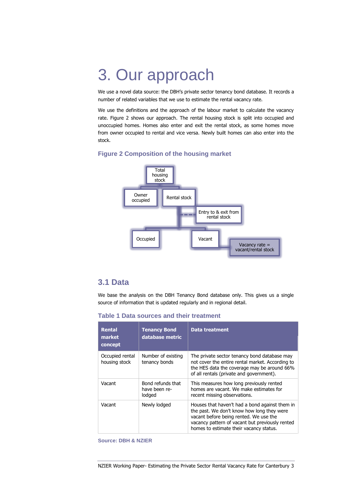# 3. Our approach

We use a novel data source: the DBH's private sector tenancy bond database. It records a number of related variables that we use to estimate the rental vacancy rate.

We use the definitions and the approach of the labour market to calculate the vacancy rate. Figure 2 shows our approach. The rental housing stock is split into occupied and unoccupied homes. Homes also enter and exit the rental stock, as some homes move from owner occupied to rental and vice versa. Newly built homes can also enter into the stock.

#### **Figure 2 Composition of the housing market**



### **3.1 Data**

We base the analysis on the DBH Tenancy Bond database only. This gives us a single source of information that is updated regularly and in regional detail.

**Table 1 Data sources and their treatment** 

| <b>Rental</b><br>market<br>concept | <b>Tenancy Bond</b><br>database metric       | <b>Data treatment</b>                                                                                                                                                                                                                |
|------------------------------------|----------------------------------------------|--------------------------------------------------------------------------------------------------------------------------------------------------------------------------------------------------------------------------------------|
| Occupied rental<br>housing stock   | Number of existing<br>tenancy bonds          | The private sector tenancy bond database may<br>not cover the entire rental market. According to<br>the HES data the coverage may be around 66%<br>of all rentals (private and government).                                          |
| Vacant                             | Bond refunds that<br>have been re-<br>lodged | This measures how long previously rented<br>homes are vacant. We make estimates for<br>recent missing observations.                                                                                                                  |
| Vacant                             | Newly lodged                                 | Houses that haven't had a bond against them in<br>the past. We don't know how long they were<br>vacant before being rented. We use the<br>vacancy pattern of vacant but previously rented<br>homes to estimate their vacancy status. |

#### **Source: DBH & NZIER**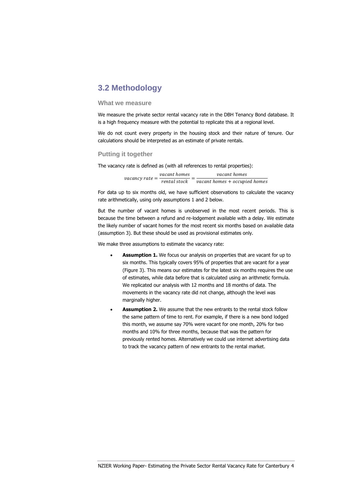### **3.2 Methodology**

#### **What we measure**

We measure the private sector rental vacancy rate in the DBH Tenancy Bond database. It is a high frequency measure with the potential to replicate this at a regional level.

We do not count every property in the housing stock and their nature of tenure. Our calculations should be interpreted as an estimate of private rentals.

#### **Putting it together**

The vacancy rate is defined as (with all references to rental properties):

| <i>vacancy rate</i> $=$ $\frac{1}{1}$ | vacant homes | vacant homes                  |
|---------------------------------------|--------------|-------------------------------|
|                                       | rental stock | vacant homes + occupied homes |

For data up to six months old, we have sufficient observations to calculate the vacancy rate arithmetically, using only assumptions 1 and 2 below.

But the number of vacant homes is unobserved in the most recent periods. This is because the time between a refund and re-lodgement available with a delay. We estimate the likely number of vacant homes for the most recent six months based on available data (assumption 3). But these should be used as provisional estimates only.

We make three assumptions to estimate the vacancy rate:

- **Assumption 1.** We focus our analysis on properties that are vacant for up to six months. This typically covers 95% of properties that are vacant for a year [\(Figure 3\)](#page-8-0). This means our estimates for the latest six months requires the use of estimates, while data before that is calculated using an arithmetic formula. We replicated our analysis with 12 months and 18 months of data. The movements in the vacancy rate did not change, although the level was marginally higher.
- **Assumption 2.** We assume that the new entrants to the rental stock follow the same pattern of time to rent. For example, if there is a new bond lodged this month, we assume say 70% were vacant for one month, 20% for two months and 10% for three months, because that was the pattern for previously rented homes. Alternatively we could use internet advertising data to track the vacancy pattern of new entrants to the rental market.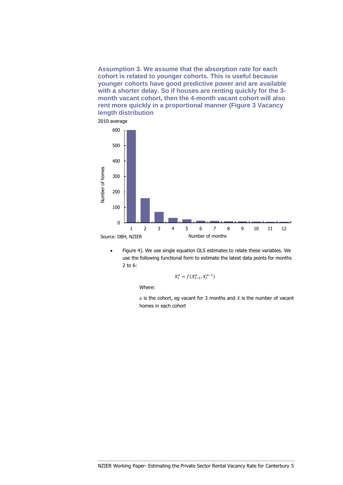**Assumption 3. We assume that the absorption rate for each cohort is related to younger cohorts. This is useful because younger cohorts have good predictive power and are available with a shorter delay. So if houses are renting quickly for the 3 month vacant cohort, then the 4-month vacant cohort will also rent more quickly in a proportional manner (Figure 3 [Vacancy](#page-8-0)  [length distribution](#page-8-0)** 



 [Figure 4\)](#page-8-0). We use single equation OLS estimates to relate these variables. We use the following functional form to estimate the latest data points for months 2 to 6:

$$
X_t^a = f(X_{t-1}^a, X_t^{a-1})
$$

Where:

*a* is the cohort, eg vacant for 3 months and *X* is the number of vacant homes in each cohort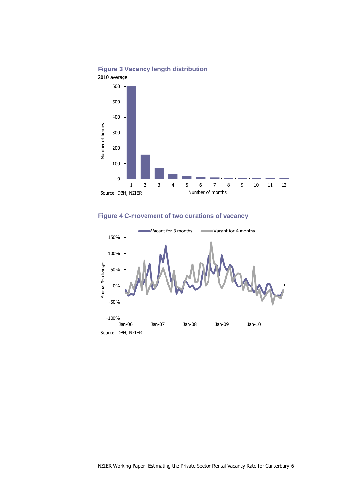

### <span id="page-8-0"></span>**Figure 3 Vacancy length distribution**

## **Figure 4 C-movement of two durations of vacancy**

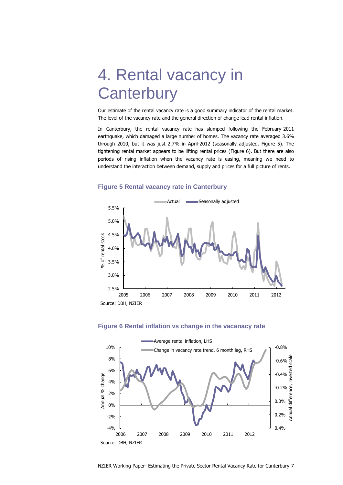# 4. Rental vacancy in **Canterbury**

Our estimate of the rental vacancy rate is a good summary indicator of the rental market. The level of the vacancy rate and the general direction of change lead rental inflation.

In Canterbury, the rental vacancy rate has slumped following the February-2011 earthquake, which damaged a large number of homes. The vacancy rate averaged 3.6% through 2010, but it was just 2.7% in April-2012 (seasonally adjusted, [Figure 5\)](#page-9-0). The tightening rental market appears to be lifting rental prices [\(Figure 6\)](#page-9-1). But there are also periods of rising inflation when the vacancy rate is easing, meaning we need to understand the interaction between demand, supply and prices for a full picture of rents.

#### <span id="page-9-0"></span>**Figure 5 Rental vacancy rate in Canterbury**



#### <span id="page-9-1"></span>**Figure 6 Rental inflation vs change in the vacanacy rate**

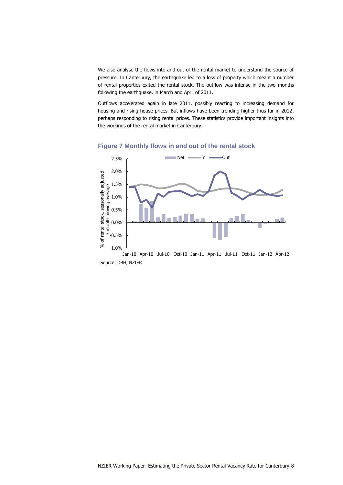We also analyse the flows into and out of the rental market to understand the source of pressure. In Canterbury, the earthquake led to a loss of property which meant a number of rental properties exited the rental stock. The outflow was intense in the two months following the earthquake, in March and April of 2011.

Outflows accelerated again in late 2011, possibly reacting to increasing demand for housing and rising house prices. But inflows have been trending higher thus far in 2012, perhaps responding to rising rental prices. These statistics provide important insights into the workings of the rental market in Canterbury.





Source: DBH, NZIER